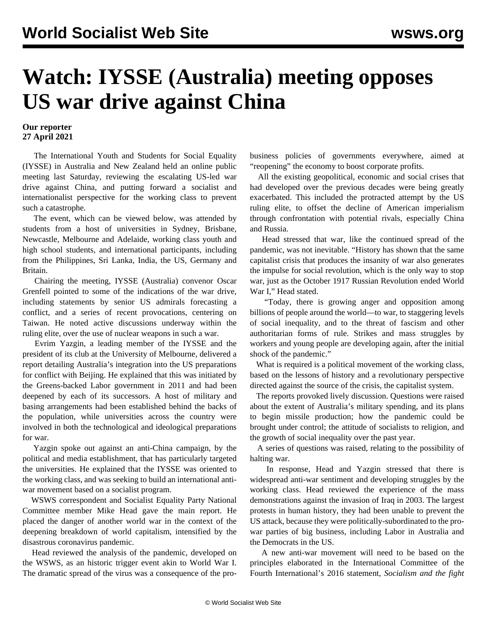## **Watch: IYSSE (Australia) meeting opposes US war drive against China**

## **Our reporter 27 April 2021**

 The International Youth and Students for Social Equality (IYSSE) in Australia and New Zealand held an online public meeting last Saturday, reviewing the escalating US-led war drive against China, and putting forward a socialist and internationalist perspective for the working class to prevent such a catastrophe.

 The event, which can be viewed below, was attended by students from a host of universities in Sydney, Brisbane, Newcastle, Melbourne and Adelaide, working class youth and high school students, and international participants, including from the Philippines, Sri Lanka, India, the US, Germany and Britain.

 Chairing the meeting, IYSSE (Australia) convenor Oscar Grenfell pointed to some of the indications of the war drive, including statements by senior US admirals forecasting a conflict, and a series of recent provocations, centering on Taiwan. He noted active discussions underway within the ruling elite, over the use of nuclear weapons in such a war.

 Evrim Yazgin, a leading member of the IYSSE and the president of its club at the University of Melbourne, delivered a report detailing Australia's integration into the US preparations for conflict with Beijing. He explained that this was initiated by the Greens-backed Labor government in 2011 and had been deepened by each of its successors. A host of military and basing arrangements had been established behind the backs of the population, while universities across the country were involved in both the technological and ideological preparations for war.

 Yazgin spoke out against an anti-China campaign, by the political and media establishment, that has particularly targeted the universities. He explained that the IYSSE was oriented to the working class, and was seeking to build an international antiwar movement based on a socialist program.

 WSWS correspondent and Socialist Equality Party National Committee member Mike Head gave the main report. He placed the danger of another world war in the context of the deepening breakdown of world capitalism, intensified by the disastrous coronavirus pandemic.

 Head reviewed the analysis of the pandemic, developed on the WSWS, as an historic trigger event akin to World War I. The dramatic spread of the virus was a consequence of the probusiness policies of governments everywhere, aimed at "reopening" the economy to boost corporate profits.

 All the existing geopolitical, economic and social crises that had developed over the previous decades were being greatly exacerbated. This included the protracted attempt by the US ruling elite, to offset the decline of American imperialism through confrontation with potential rivals, especially China and Russia.

 Head stressed that war, like the continued spread of the pandemic, was not inevitable. "History has shown that the same capitalist crisis that produces the insanity of war also generates the impulse for social revolution, which is the only way to stop war, just as the October 1917 Russian Revolution ended World War I," Head stated.

 "Today, there is growing anger and opposition among billions of people around the world—to war, to staggering levels of social inequality, and to the threat of fascism and other authoritarian forms of rule. Strikes and mass struggles by workers and young people are developing again, after the initial shock of the pandemic."

 What is required is a political movement of the working class, based on the lessons of history and a revolutionary perspective directed against the source of the crisis, the capitalist system.

 The reports provoked lively discussion. Questions were raised about the extent of Australia's military spending, and its plans to begin missile production; how the pandemic could be brought under control; the attitude of socialists to religion, and the growth of social inequality over the past year.

 A series of questions was raised, relating to the possibility of halting war.

 In response, Head and Yazgin stressed that there is widespread anti-war sentiment and developing struggles by the working class. Head reviewed the experience of the mass demonstrations against the invasion of Iraq in 2003. The largest protests in human history, they had been unable to prevent the US attack, because they were politically-subordinated to the prowar parties of big business, including Labor in Australia and the Democrats in the US.

 A new anti-war movement will need to be based on the principles elaborated in the International Committee of the Fourth International's 2016 statement, *Socialism and the fight*